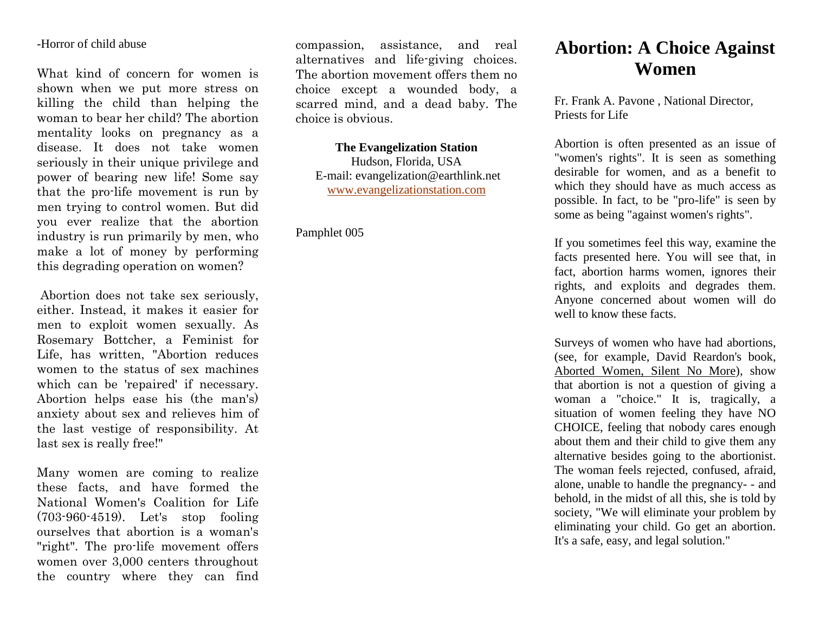### -Horror of child abuse

What kind of concern for women is shown when we put more stress on killing the child than helping the woman to bear her child? The abortion mentality looks on pregnancy as a disease. It does not take women seriously in their unique privilege and power of bearing new life! Some say that the pro-life movement is run by men trying to control women. But did you ever realize that the abortion industry is run primarily by men, who make a lot of money by performing this degrading operation on women?

Abortion does not take sex seriously, either. Instead, it makes it easier for men to exploit women sexually. As Rosemary Bottcher, a Feminist for Life, has written, "Abortion reduces women to the status of sex machines which can be 'repaired' if necessary. Abortion helps ease his (the man's) anxiety about sex and relieves him of the last vestige of responsibility. At last sex is really free!"

Many women are coming to realize these facts, and have formed the National Women's Coalition for Life (703-960-4519). Let's stop fooling ourselves that abortion is a woman's "right". The pro-life movement offers women over 3,000 centers throughout the country where they can find compassion, assistance, and real alternatives and life-giving choices. The abortion movement offers them no choice except a wounded body, a scarred mind, and a dead baby. The choice is obvious.

**The Evangelization Station** Hudson, Florida, USA E-mail: evangelization@earthlink.net [www.evangelizationstation.com](http://www.pjpiisoe.org/)

# Pamphlet 005

# **Abortion: A Choice Against Women**

Fr. Frank A. Pavone , National Director, Priests for Life

Abortion is often presented as an issue of "women's rights". It is seen as something desirable for women, and as a benefit to which they should have as much access as possible. In fact, to be "pro-life" is seen by some as being "against women's rights".

If you sometimes feel this way, examine the facts presented here. You will see that, in fact, abortion harms women, ignores their rights, and exploits and degrades them. Anyone concerned about women will do well to know these facts.

Surveys of women who have had abortions, (see, for example, David Reardon's book, Aborted Women, Silent No More), show that abortion is not a question of giving a woman a "choice." It is, tragically, a situation of women feeling they have NO CHOICE, feeling that nobody cares enough about them and their child to give them any alternative besides going to the abortionist. The woman feels rejected, confused, afraid, alone, unable to handle the pregnancy- - and behold, in the midst of all this, she is told by society, "We will eliminate your problem by eliminating your child. Go get an abortion. It's a safe, easy, and legal solution."